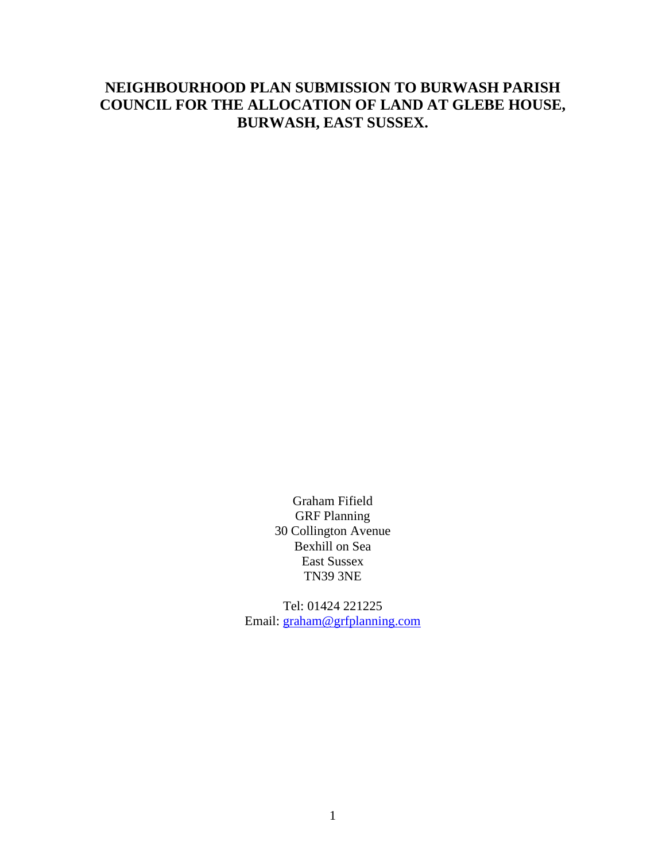# **NEIGHBOURHOOD PLAN SUBMISSION TO BURWASH PARISH COUNCIL FOR THE ALLOCATION OF LAND AT GLEBE HOUSE, BURWASH, EAST SUSSEX.**

Graham Fifield GRF Planning 30 Collington Avenue Bexhill on Sea East Sussex TN39 3NE

Tel: 01424 221225 Email: [graham@grfplanning.com](mailto:graham@grfplanning.com)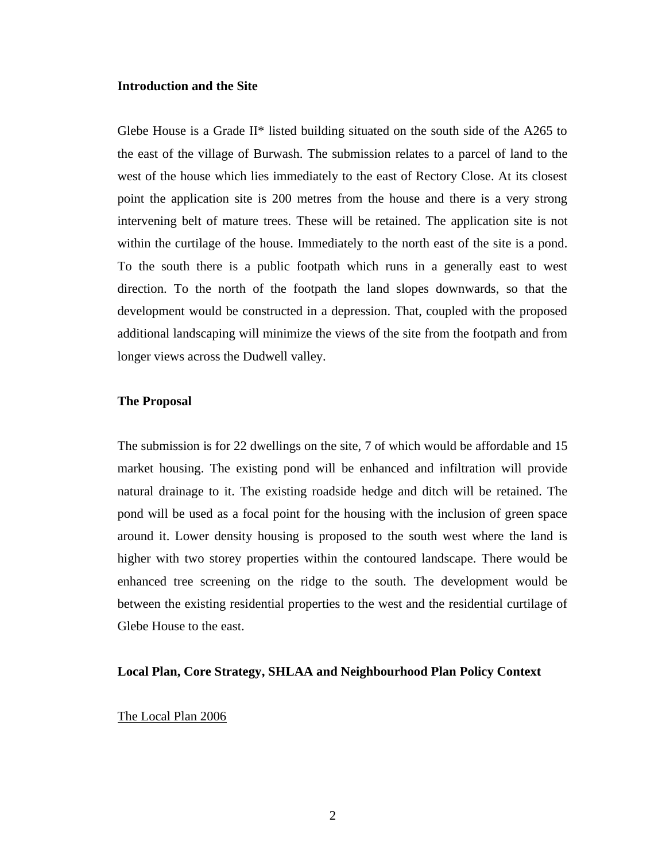## **Introduction and the Site**

Glebe House is a Grade II\* listed building situated on the south side of the A265 to the east of the village of Burwash. The submission relates to a parcel of land to the west of the house which lies immediately to the east of Rectory Close. At its closest point the application site is 200 metres from the house and there is a very strong intervening belt of mature trees. These will be retained. The application site is not within the curtilage of the house. Immediately to the north east of the site is a pond. To the south there is a public footpath which runs in a generally east to west direction. To the north of the footpath the land slopes downwards, so that the development would be constructed in a depression. That, coupled with the proposed additional landscaping will minimize the views of the site from the footpath and from longer views across the Dudwell valley.

## **The Proposal**

The submission is for 22 dwellings on the site, 7 of which would be affordable and 15 market housing. The existing pond will be enhanced and infiltration will provide natural drainage to it. The existing roadside hedge and ditch will be retained. The pond will be used as a focal point for the housing with the inclusion of green space around it. Lower density housing is proposed to the south west where the land is higher with two storey properties within the contoured landscape. There would be enhanced tree screening on the ridge to the south. The development would be between the existing residential properties to the west and the residential curtilage of Glebe House to the east.

#### **Local Plan, Core Strategy, SHLAA and Neighbourhood Plan Policy Context**

#### The Local Plan 2006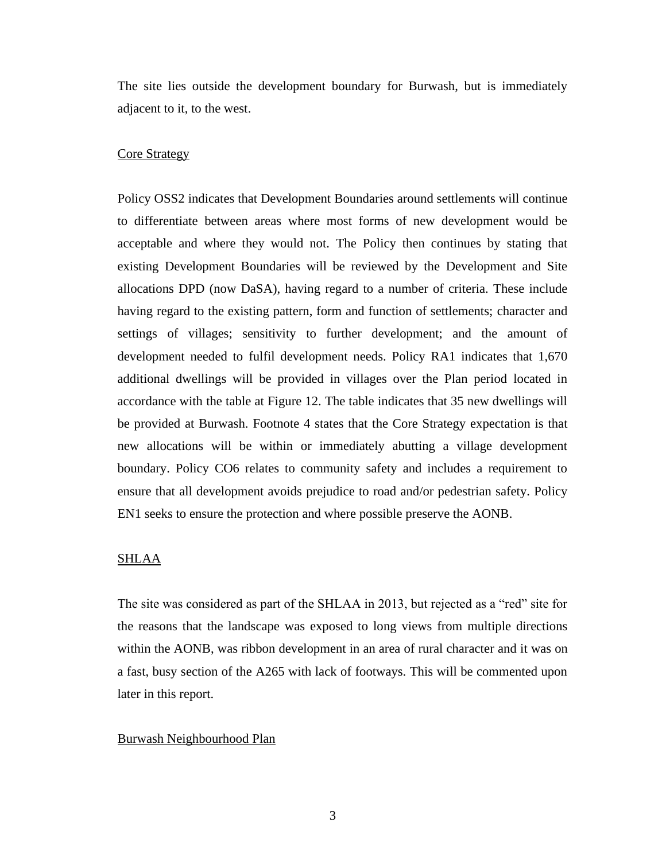The site lies outside the development boundary for Burwash, but is immediately adjacent to it, to the west.

#### Core Strategy

Policy OSS2 indicates that Development Boundaries around settlements will continue to differentiate between areas where most forms of new development would be acceptable and where they would not. The Policy then continues by stating that existing Development Boundaries will be reviewed by the Development and Site allocations DPD (now DaSA), having regard to a number of criteria. These include having regard to the existing pattern, form and function of settlements; character and settings of villages; sensitivity to further development; and the amount of development needed to fulfil development needs. Policy RA1 indicates that 1,670 additional dwellings will be provided in villages over the Plan period located in accordance with the table at Figure 12. The table indicates that 35 new dwellings will be provided at Burwash. Footnote 4 states that the Core Strategy expectation is that new allocations will be within or immediately abutting a village development boundary. Policy CO6 relates to community safety and includes a requirement to ensure that all development avoids prejudice to road and/or pedestrian safety. Policy EN1 seeks to ensure the protection and where possible preserve the AONB.

## SHLAA

The site was considered as part of the SHLAA in 2013, but rejected as a "red" site for the reasons that the landscape was exposed to long views from multiple directions within the AONB, was ribbon development in an area of rural character and it was on a fast, busy section of the A265 with lack of footways. This will be commented upon later in this report.

## Burwash Neighbourhood Plan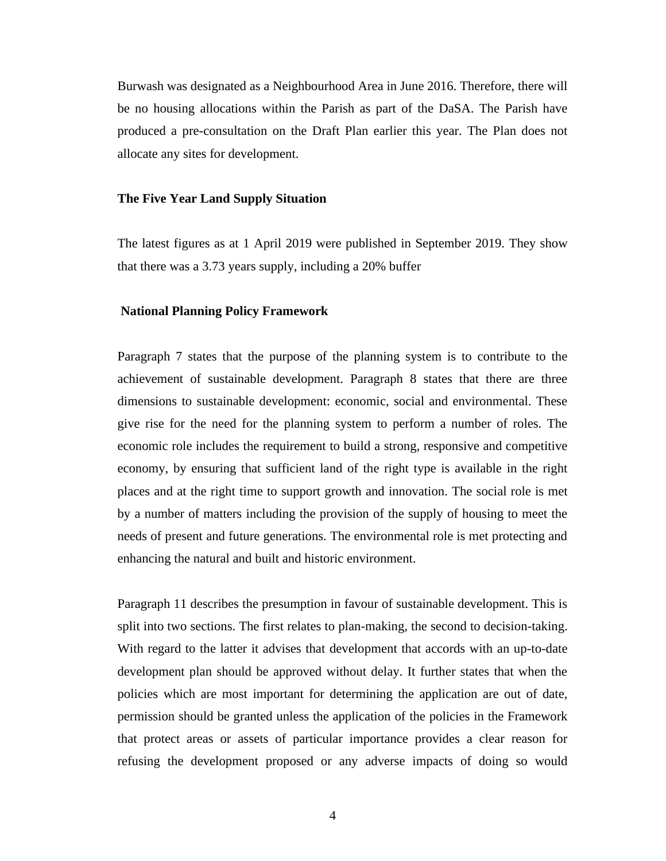Burwash was designated as a Neighbourhood Area in June 2016. Therefore, there will be no housing allocations within the Parish as part of the DaSA. The Parish have produced a pre-consultation on the Draft Plan earlier this year. The Plan does not allocate any sites for development.

#### **The Five Year Land Supply Situation**

The latest figures as at 1 April 2019 were published in September 2019. They show that there was a 3.73 years supply, including a 20% buffer

## **National Planning Policy Framework**

Paragraph 7 states that the purpose of the planning system is to contribute to the achievement of sustainable development. Paragraph 8 states that there are three dimensions to sustainable development: economic, social and environmental. These give rise for the need for the planning system to perform a number of roles. The economic role includes the requirement to build a strong, responsive and competitive economy, by ensuring that sufficient land of the right type is available in the right places and at the right time to support growth and innovation. The social role is met by a number of matters including the provision of the supply of housing to meet the needs of present and future generations. The environmental role is met protecting and enhancing the natural and built and historic environment.

Paragraph 11 describes the presumption in favour of sustainable development. This is split into two sections. The first relates to plan-making, the second to decision-taking. With regard to the latter it advises that development that accords with an up-to-date development plan should be approved without delay. It further states that when the policies which are most important for determining the application are out of date, permission should be granted unless the application of the policies in the Framework that protect areas or assets of particular importance provides a clear reason for refusing the development proposed or any adverse impacts of doing so would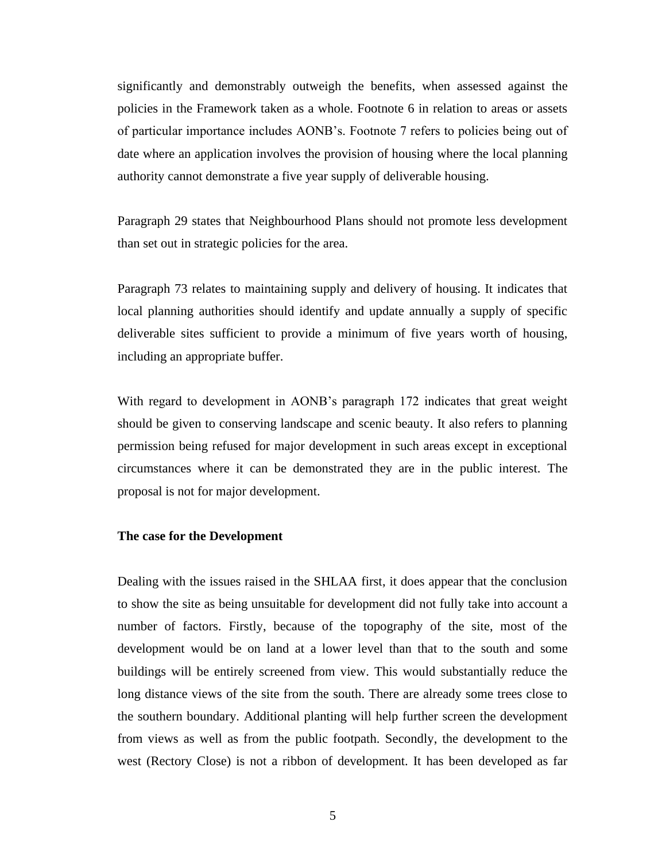significantly and demonstrably outweigh the benefits, when assessed against the policies in the Framework taken as a whole. Footnote 6 in relation to areas or assets of particular importance includes AONB's. Footnote 7 refers to policies being out of date where an application involves the provision of housing where the local planning authority cannot demonstrate a five year supply of deliverable housing.

Paragraph 29 states that Neighbourhood Plans should not promote less development than set out in strategic policies for the area.

Paragraph 73 relates to maintaining supply and delivery of housing. It indicates that local planning authorities should identify and update annually a supply of specific deliverable sites sufficient to provide a minimum of five years worth of housing, including an appropriate buffer.

With regard to development in AONB's paragraph 172 indicates that great weight should be given to conserving landscape and scenic beauty. It also refers to planning permission being refused for major development in such areas except in exceptional circumstances where it can be demonstrated they are in the public interest. The proposal is not for major development.

#### **The case for the Development**

Dealing with the issues raised in the SHLAA first, it does appear that the conclusion to show the site as being unsuitable for development did not fully take into account a number of factors. Firstly, because of the topography of the site, most of the development would be on land at a lower level than that to the south and some buildings will be entirely screened from view. This would substantially reduce the long distance views of the site from the south. There are already some trees close to the southern boundary. Additional planting will help further screen the development from views as well as from the public footpath. Secondly, the development to the west (Rectory Close) is not a ribbon of development. It has been developed as far